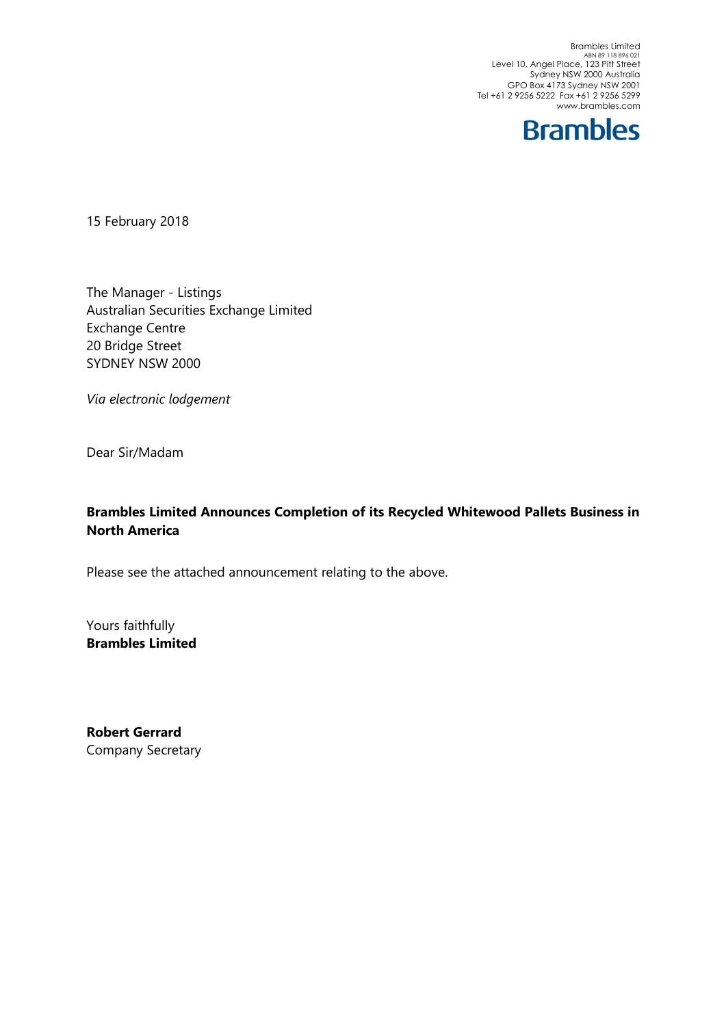Brambles Limited<br>ABN 89 118 896 021<br>Level 10, Angel Place, 123 Pitt Street Sydney NSW 2000 Australia GPO Box 4173 Sydney NSW 2001 Tel +61 2 9256 5222 Fax +61 2 9256 5299 www.brambles.com



15 February 2018

The Manager - Listings Australian Securities Exchange Limited Exchange Centre 20 Bridge Street SYDNEY NSW 2000

Via electronic lodgement

Dear Sir/Madam

## Brambles Limited Announces Completion of its Recycled Whitewood Pallets Business in North America

Please see the attached announcement relating to the above.

Yours faithfully Brambles Limited

Robert Gerrard Company Secretary